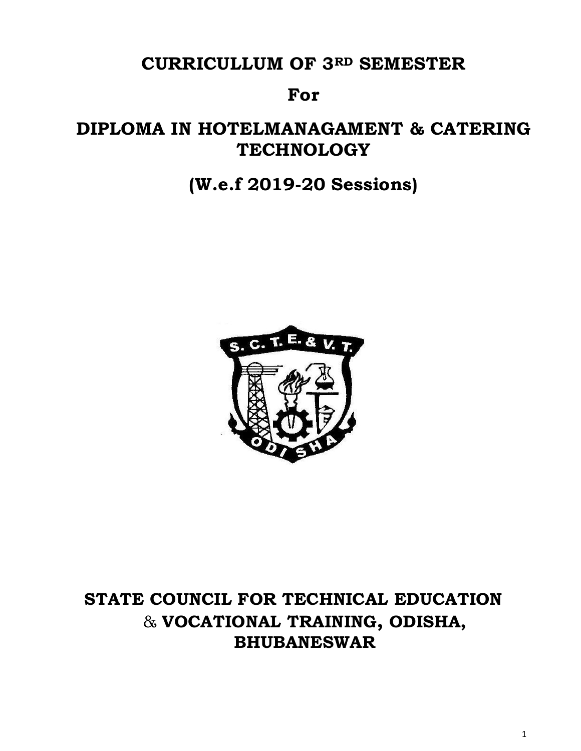# **CURRICULLUM OF 3RD SEMESTER**

# **For**

# **DIPLOMA IN HOTELMANAGAMENT & CATERING TECHNOLOGY**

# **(W.e.f 2019-20 Sessions)**



# **STATE COUNCIL FOR TECHNICAL EDUCATION** & **VOCATIONAL TRAINING, ODISHA, BHUBANESWAR**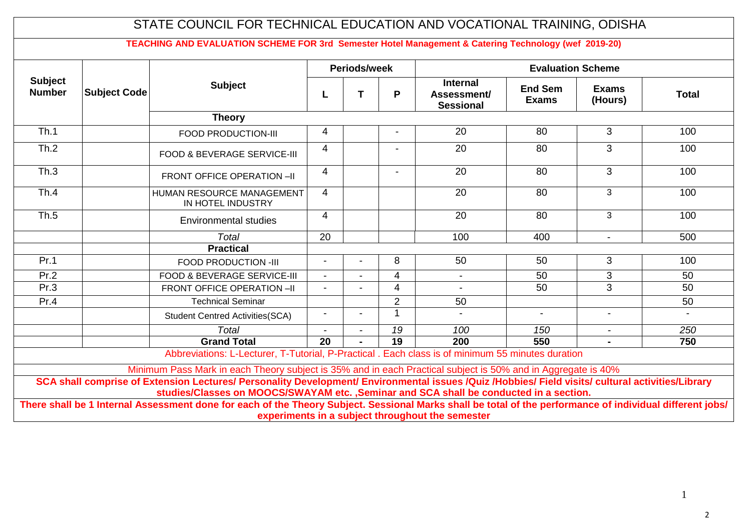| <b>Internal</b><br><b>Subject</b><br><b>End Sem</b><br><b>Exams</b><br><b>Subject Code</b><br>т<br>P<br>Assessment/<br>L<br><b>Exams</b><br>(Hours)<br><b>Sessional</b><br><b>Theory</b><br>Th.1<br>3<br>20<br>80<br>100<br>4<br>FOOD PRODUCTION-III<br>Th.2<br>3<br>20<br>80<br>100<br>4<br>FOOD & BEVERAGE SERVICE-III<br>Th.3<br>3<br>$\overline{4}$<br>20<br>80<br>100<br>FRONT OFFICE OPERATION -II<br>3<br>Th.4<br>HUMAN RESOURCE MANAGEMENT<br>$\overline{4}$<br>20<br>80<br>100<br>IN HOTEL INDUSTRY<br>3<br>Th.5<br>$\overline{4}$<br>20<br>80<br>100<br><b>Environmental studies</b><br><b>Total</b><br>20<br>100<br>400<br>500<br>$\sim$<br><b>Practical</b><br>Pr.1<br>3<br>8<br>50<br>50<br>100<br>FOOD PRODUCTION -III<br>Pr.2<br><b>FOOD &amp; BEVERAGE SERVICE-III</b><br>3<br>4<br>50<br>50<br>$\sim$<br>$\blacksquare$<br>Pr.3<br>$\overline{3}$<br>50<br>50<br>$\overline{4}$<br>FRONT OFFICE OPERATION -II<br>Pr.4<br><b>Technical Seminar</b><br>2<br>50<br>50<br>$\mathbf{1}$<br>$\sim$<br>$\blacksquare$<br>$\blacksquare$<br><b>Student Centred Activities(SCA)</b><br><b>Total</b><br>19<br>100<br>150<br>250<br>$\overline{a}$<br>$\overline{19}$<br>$\overline{20}$<br><b>Grand Total</b><br>200<br>550<br>750<br>Abbreviations: L-Lecturer, T-Tutorial, P-Practical . Each class is of minimum 55 minutes duration |                                 |  | Periods/week |  | <b>Evaluation Scheme</b> |  |              |
|------------------------------------------------------------------------------------------------------------------------------------------------------------------------------------------------------------------------------------------------------------------------------------------------------------------------------------------------------------------------------------------------------------------------------------------------------------------------------------------------------------------------------------------------------------------------------------------------------------------------------------------------------------------------------------------------------------------------------------------------------------------------------------------------------------------------------------------------------------------------------------------------------------------------------------------------------------------------------------------------------------------------------------------------------------------------------------------------------------------------------------------------------------------------------------------------------------------------------------------------------------------------------------------------------------------------------------------------|---------------------------------|--|--------------|--|--------------------------|--|--------------|
|                                                                                                                                                                                                                                                                                                                                                                                                                                                                                                                                                                                                                                                                                                                                                                                                                                                                                                                                                                                                                                                                                                                                                                                                                                                                                                                                                | <b>Subject</b><br><b>Number</b> |  |              |  |                          |  | <b>Total</b> |
|                                                                                                                                                                                                                                                                                                                                                                                                                                                                                                                                                                                                                                                                                                                                                                                                                                                                                                                                                                                                                                                                                                                                                                                                                                                                                                                                                |                                 |  |              |  |                          |  |              |
|                                                                                                                                                                                                                                                                                                                                                                                                                                                                                                                                                                                                                                                                                                                                                                                                                                                                                                                                                                                                                                                                                                                                                                                                                                                                                                                                                |                                 |  |              |  |                          |  |              |
|                                                                                                                                                                                                                                                                                                                                                                                                                                                                                                                                                                                                                                                                                                                                                                                                                                                                                                                                                                                                                                                                                                                                                                                                                                                                                                                                                |                                 |  |              |  |                          |  |              |
|                                                                                                                                                                                                                                                                                                                                                                                                                                                                                                                                                                                                                                                                                                                                                                                                                                                                                                                                                                                                                                                                                                                                                                                                                                                                                                                                                |                                 |  |              |  |                          |  |              |
|                                                                                                                                                                                                                                                                                                                                                                                                                                                                                                                                                                                                                                                                                                                                                                                                                                                                                                                                                                                                                                                                                                                                                                                                                                                                                                                                                |                                 |  |              |  |                          |  |              |
|                                                                                                                                                                                                                                                                                                                                                                                                                                                                                                                                                                                                                                                                                                                                                                                                                                                                                                                                                                                                                                                                                                                                                                                                                                                                                                                                                |                                 |  |              |  |                          |  |              |
|                                                                                                                                                                                                                                                                                                                                                                                                                                                                                                                                                                                                                                                                                                                                                                                                                                                                                                                                                                                                                                                                                                                                                                                                                                                                                                                                                |                                 |  |              |  |                          |  |              |
|                                                                                                                                                                                                                                                                                                                                                                                                                                                                                                                                                                                                                                                                                                                                                                                                                                                                                                                                                                                                                                                                                                                                                                                                                                                                                                                                                |                                 |  |              |  |                          |  |              |
|                                                                                                                                                                                                                                                                                                                                                                                                                                                                                                                                                                                                                                                                                                                                                                                                                                                                                                                                                                                                                                                                                                                                                                                                                                                                                                                                                |                                 |  |              |  |                          |  |              |
|                                                                                                                                                                                                                                                                                                                                                                                                                                                                                                                                                                                                                                                                                                                                                                                                                                                                                                                                                                                                                                                                                                                                                                                                                                                                                                                                                |                                 |  |              |  |                          |  |              |
|                                                                                                                                                                                                                                                                                                                                                                                                                                                                                                                                                                                                                                                                                                                                                                                                                                                                                                                                                                                                                                                                                                                                                                                                                                                                                                                                                |                                 |  |              |  |                          |  |              |
|                                                                                                                                                                                                                                                                                                                                                                                                                                                                                                                                                                                                                                                                                                                                                                                                                                                                                                                                                                                                                                                                                                                                                                                                                                                                                                                                                |                                 |  |              |  |                          |  |              |
|                                                                                                                                                                                                                                                                                                                                                                                                                                                                                                                                                                                                                                                                                                                                                                                                                                                                                                                                                                                                                                                                                                                                                                                                                                                                                                                                                |                                 |  |              |  |                          |  |              |
|                                                                                                                                                                                                                                                                                                                                                                                                                                                                                                                                                                                                                                                                                                                                                                                                                                                                                                                                                                                                                                                                                                                                                                                                                                                                                                                                                |                                 |  |              |  |                          |  |              |
|                                                                                                                                                                                                                                                                                                                                                                                                                                                                                                                                                                                                                                                                                                                                                                                                                                                                                                                                                                                                                                                                                                                                                                                                                                                                                                                                                |                                 |  |              |  |                          |  |              |
|                                                                                                                                                                                                                                                                                                                                                                                                                                                                                                                                                                                                                                                                                                                                                                                                                                                                                                                                                                                                                                                                                                                                                                                                                                                                                                                                                |                                 |  |              |  |                          |  |              |
| Minimum Pass Mark in each Theory subject is 35% and in each Practical subject is 50% and in Aggregate is 40%                                                                                                                                                                                                                                                                                                                                                                                                                                                                                                                                                                                                                                                                                                                                                                                                                                                                                                                                                                                                                                                                                                                                                                                                                                   |                                 |  |              |  |                          |  |              |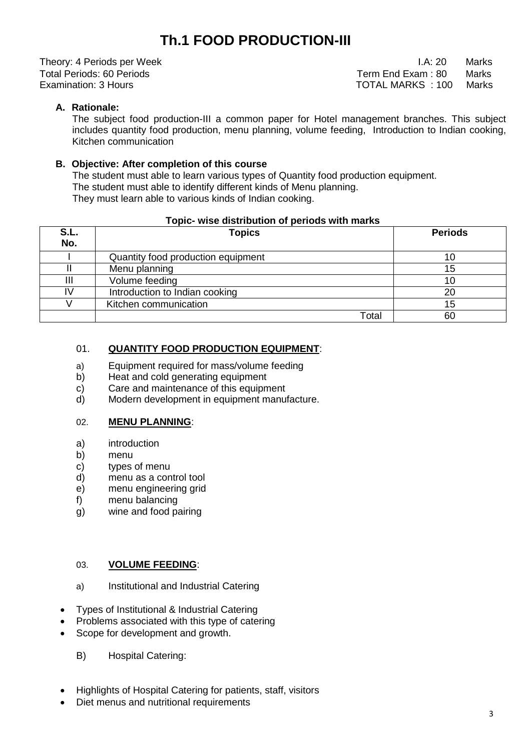# **Th.1 FOOD PRODUCTION-III**

Theory: 4 Periods per Week **I.A: 20** Marks

Total Periods: 60 Periods<br>
Examination: 3 Hours<br>
Examination: 3 Hours TOTAL MARKS : 100 Marks

# **A. Rationale:**

The subject food production-III a common paper for Hotel management branches. This subject includes quantity food production, menu planning, volume feeding, Introduction to Indian cooking, Kitchen communication

### **B. Objective: After completion of this course**

 The student must able to learn various types of Quantity food production equipment. The student must able to identify different kinds of Menu planning. They must learn able to various kinds of Indian cooking.

#### **Topic- wise distribution of periods with marks**

| S.L.<br>No. | <b>Topics</b>                      | <b>Periods</b> |
|-------------|------------------------------------|----------------|
|             | Quantity food production equipment | 10             |
|             | Menu planning                      | 15             |
| Ш           | Volume feeding                     | 10             |
| I٧          | Introduction to Indian cooking     | 20             |
|             | Kitchen communication              | 15             |
|             | Total                              | 60             |

### 01. **QUANTITY FOOD PRODUCTION EQUIPMENT**:

- a) Equipment required for mass/volume feeding
- b) Heat and cold generating equipment
- c) Care and maintenance of this equipment
- d) Modern development in equipment manufacture.

#### 02. **MENU PLANNING**:

- a) introduction
- b) menu
- c) types of menu
- d) menu as a control tool
- e) menu engineering grid
- f) menu balancing
- g) wine and food pairing

#### 03. **VOLUME FEEDING**:

- a) Institutional and Industrial Catering
- Types of Institutional & Industrial Catering
- Problems associated with this type of catering
- Scope for development and growth.
	- B) Hospital Catering:
- Highlights of Hospital Catering for patients, staff, visitors
- Diet menus and nutritional requirements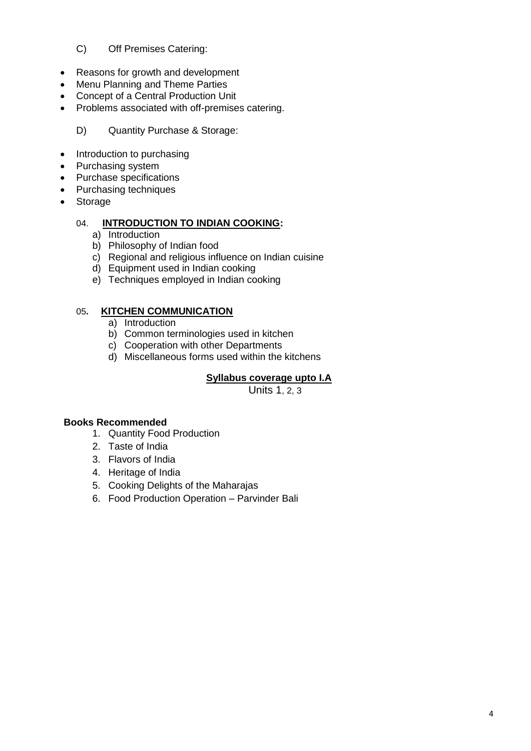# C) Off Premises Catering:

- Reasons for growth and development
- Menu Planning and Theme Parties
- Concept of a Central Production Unit
- Problems associated with off-premises catering.

# D) Quantity Purchase & Storage:

- Introduction to purchasing
- Purchasing system
- Purchase specifications
- Purchasing techniques
- Storage

### 04. **INTRODUCTION TO INDIAN COOKING:**

- a) Introduction
- b) Philosophy of Indian food
- c) Regional and religious influence on Indian cuisine
- d) Equipment used in Indian cooking
- e) Techniques employed in Indian cooking

#### 05**. KITCHEN COMMUNICATION**

- a) Introduction
- b) Common terminologies used in kitchen
- c) Cooperation with other Departments
- d) Miscellaneous forms used within the kitchens

# **Syllabus coverage upto I.A**

Units 1, 2, 3

#### **Books Recommended**

- 1. Quantity Food Production
- 2. Taste of India
- 3. Flavors of India
- 4. Heritage of India
- 5. Cooking Delights of the Maharajas
- 6. Food Production Operation Parvinder Bali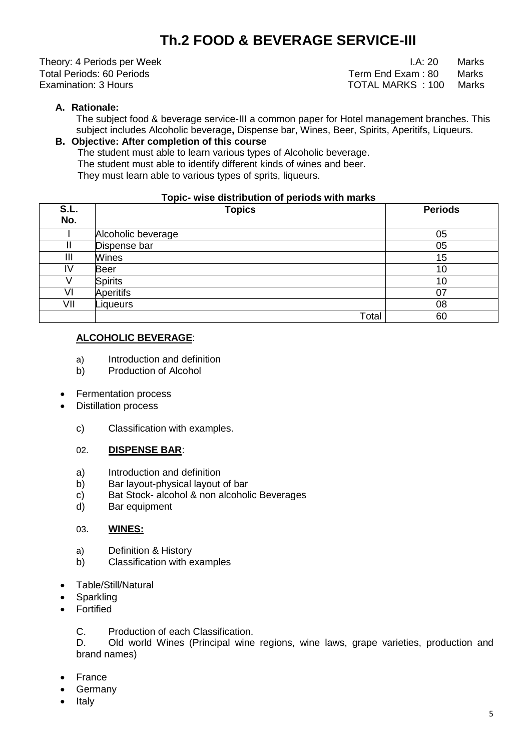# **Th.2 FOOD & BEVERAGE SERVICE-III**

Theory: 4 Periods per Week **I.A: 20** Marks Total Periods: 60 Periods<br>
Examination: 3 Hours<br>
Examination: 3 Hours TOTAL MARKS : 100

# **A. Rationale:**

The subject food & beverage service-III a common paper for Hotel management branches. This subject includes Alcoholic beverage**,** Dispense bar, Wines, Beer, Spirits, Aperitifs, Liqueurs.

### **B. Objective: After completion of this course**

 The student must able to learn various types of Alcoholic beverage. The student must able to identify different kinds of wines and beer. They must learn able to various types of sprits, liqueurs.

#### **Topic- wise distribution of periods with marks**

| S.L.<br>No. | <b>Topics</b>      | <b>Periods</b> |
|-------------|--------------------|----------------|
|             |                    |                |
|             | Alcoholic beverage | 05             |
|             | Dispense bar       | 05             |
| Ш           | Wines              | 15             |
| I٧          | <b>Beer</b>        | 10             |
|             | <b>Spirits</b>     | 10             |
| VI          | <b>Aperitifs</b>   | 07             |
| VII         | Liqueurs           | 08             |
|             | Total              | 60             |

### **ALCOHOLIC BEVERAGE**:

- a) Introduction and definition
- b) Production of Alcohol
- Fermentation process
- Distillation process
	- c) Classification with examples.

#### 02. **DISPENSE BAR**:

- a) Introduction and definition
- b) Bar layout-physical layout of bar
- c) Bat Stock- alcohol & non alcoholic Beverages
- d) Bar equipment

#### 03. **WINES:**

- a) Definition & History
- b) Classification with examples
- Table/Still/Natural
- Sparkling
- Fortified

C. Production of each Classification.

D. Old world Wines (Principal wine regions, wine laws, grape varieties, production and brand names)

- France
- Germany
- Italy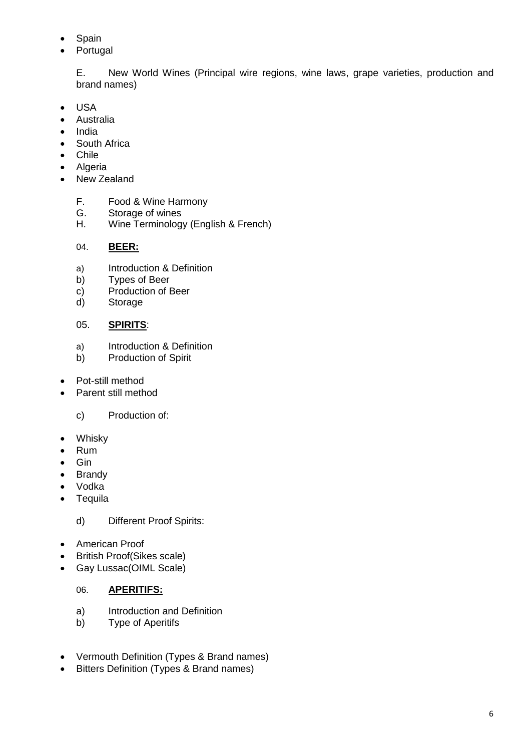- Spain
- Portugal

E. New World Wines (Principal wire regions, wine laws, grape varieties, production and brand names)

- USA
- Australia
- India
- South Africa
- Chile
- Algeria
- New Zealand
	- F. Food & Wine Harmony
	- G. Storage of wines
	- H. Wine Terminology (English & French)

# 04. **BEER:**

- a) Introduction & Definition
- b) Types of Beer
- c) Production of Beer
- d) Storage

# 05. **SPIRITS**:

- a) Introduction & Definition
- b) Production of Spirit
- Pot-still method
- Parent still method
	- c) Production of:
- Whisky
- Rum
- Gin
- Brandy
- Vodka
- Tequila

d) Different Proof Spirits:

- American Proof
- British Proof(Sikes scale)
- Gay Lussac(OIML Scale)

# 06. **APERITIFS:**

- a) Introduction and Definition
- b) Type of Aperitifs
- Vermouth Definition (Types & Brand names)
- Bitters Definition (Types & Brand names)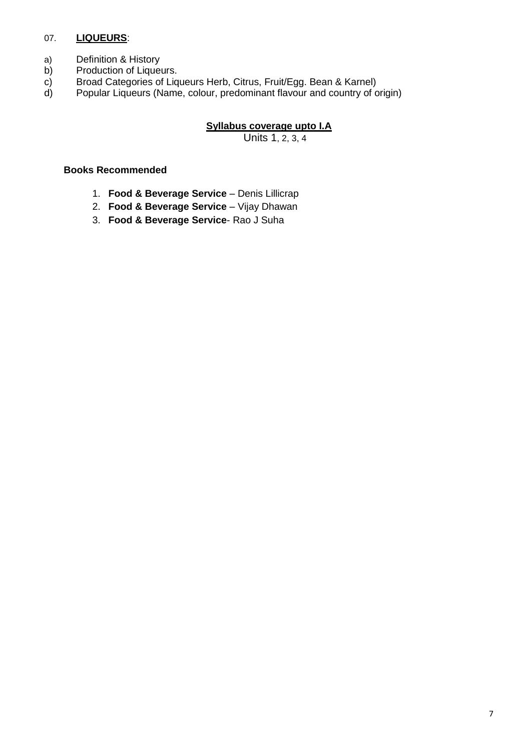# 07. **LIQUEURS**:

- a) Definition & History
- b) Production of Liqueurs.
- c) Broad Categories of Liqueurs Herb, Citrus, Fruit/Egg. Bean & Karnel)<br>d) Popular Liqueurs (Name, colour, predominant flavour and country of c
- d) Popular Liqueurs (Name, colour, predominant flavour and country of origin)

### **Syllabus coverage upto I.A**

Units 1, 2, 3, 4

#### **Books Recommended**

- 1. **Food & Beverage Service**  Denis Lillicrap
- 2. **Food & Beverage Service** Vijay Dhawan
- 3. **Food & Beverage Service** Rao J Suha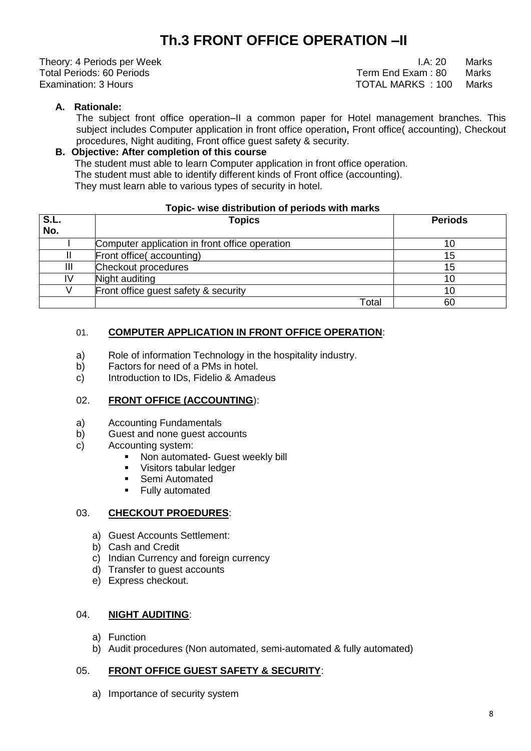# **Th.3 FRONT OFFICE OPERATION –II**

Theory: 4 Periods per Week **I.A: 20** Marks

Total Periods: 60 Periods<br>
Fxamination: 3 Hours<br>
Fxamination: 3 Hours TOTAL MARKS : 100

# **A. Rationale:**

The subject front office operation–II a common paper for Hotel management branches. This subject includes Computer application in front office operation**,** Front office( accounting), Checkout procedures, Night auditing, Front office guest safety & security.

# **B. Objective: After completion of this course**

 The student must able to learn Computer application in front office operation. The student must able to identify different kinds of Front office (accounting).

They must learn able to various types of security in hotel.

#### **Topic- wise distribution of periods with marks**

| S.L. | <b>Topics</b>                                  | <b>Periods</b> |
|------|------------------------------------------------|----------------|
| No.  |                                                |                |
|      | Computer application in front office operation |                |
|      | Front office(accounting)                       | 15             |
| Ш    | Checkout procedures                            | 15             |
| IV   | Night auditing                                 |                |
|      | Front office guest safety & security           | 10             |
|      | Total                                          | 60             |

# 01. **COMPUTER APPLICATION IN FRONT OFFICE OPERATION**:

- a) Role of information Technology in the hospitality industry.
- b) Factors for need of a PMs in hotel.
- c) Introduction to IDs, Fidelio & Amadeus

#### 02. **FRONT OFFICE (ACCOUNTING**):

- a) Accounting Fundamentals
- b) Guest and none guest accounts
- c) Accounting system:
	- **Non automated- Guest weekly bill**
	- **Visitors tabular ledger**
	- **Semi Automated**
	- Fully automated

#### 03. **CHECKOUT PROEDURES**:

- a) Guest Accounts Settlement:
- b) Cash and Credit
- c) Indian Currency and foreign currency
- d) Transfer to guest accounts
- e) Express checkout.

#### 04. **NIGHT AUDITING**:

- a) Function
- b) Audit procedures (Non automated, semi-automated & fully automated)

#### 05. **FRONT OFFICE GUEST SAFETY & SECURITY**:

a) Importance of security system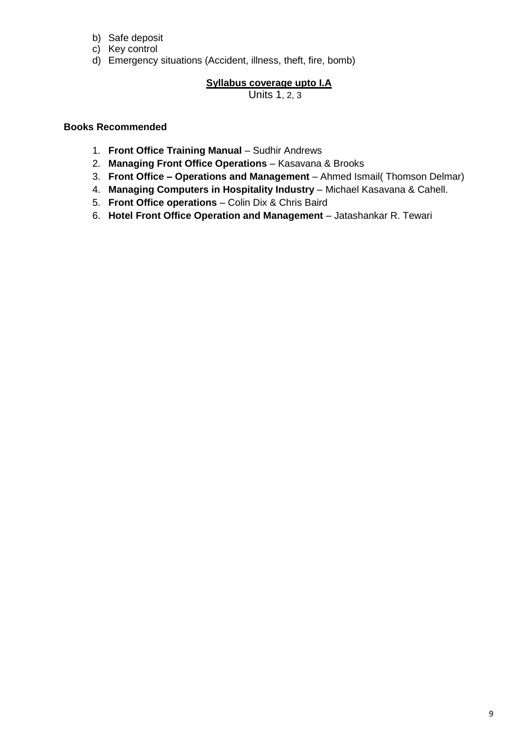- b) Safe deposit
- c) Key control
- d) Emergency situations (Accident, illness, theft, fire, bomb)

# **Syllabus coverage upto I.A**

Units 1, 2, 3

# **Books Recommended**

- 1. **Front Office Training Manual** Sudhir Andrews
- 2. **Managing Front Office Operations**  Kasavana & Brooks
- 3. **Front Office – Operations and Management**  Ahmed Ismail( Thomson Delmar)
- 4. **Managing Computers in Hospitality Industry**  Michael Kasavana & Cahell.
- 5. **Front Office operations**  Colin Dix & Chris Baird
- 6. **Hotel Front Office Operation and Management**  Jatashankar R. Tewari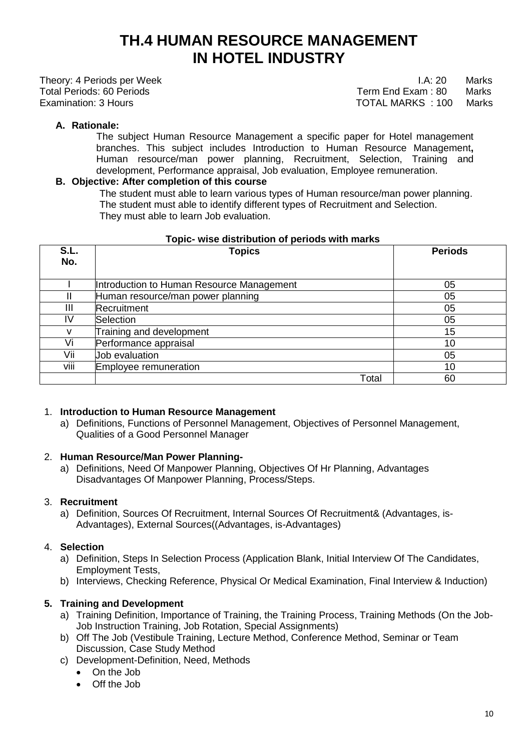# **TH.4 HUMAN RESOURCE MANAGEMENT IN HOTEL INDUSTRY**

Theory: 4 Periods per Week **I.A: 20 Marks** Total Periods: 60 Periods Term End Exam : 80 Marks Examination: 3 Hours TOTAL MARKS : 100 Marks

# **A. Rationale:**

 The subject Human Resource Management a specific paper for Hotel management branches. This subject includes Introduction to Human Resource Management**,**  Human resource/man power planning, Recruitment, Selection, Training and development, Performance appraisal, Job evaluation, Employee remuneration.

### **B. Objective: After completion of this course**

 The student must able to learn various types of Human resource/man power planning. The student must able to identify different types of Recruitment and Selection. They must able to learn Job evaluation.

| S.L.<br>No. | <b>Topics</b>                             | <b>Periods</b>  |
|-------------|-------------------------------------------|-----------------|
|             | Introduction to Human Resource Management | 05              |
| н           | Human resource/man power planning         | 05              |
| Ш           | Recruitment                               | 05              |
| IV          | <b>Selection</b>                          | 05              |
| v           | Training and development                  | 15              |
| Vi          | Performance appraisal                     | 10              |
| Vii         | Job evaluation                            | 05              |
| viii        | Employee remuneration                     | 10 <sup>°</sup> |
|             | Total                                     | 60              |

#### **Topic- wise distribution of periods with marks**

# 1. **Introduction to Human Resource Management**

a) Definitions, Functions of Personnel Management, Objectives of Personnel Management, Qualities of a Good Personnel Manager

#### 2. **Human Resource/Man Power Planning-**

a) Definitions, Need Of Manpower Planning, Objectives Of Hr Planning, Advantages Disadvantages Of Manpower Planning, Process/Steps.

#### 3. **Recruitment**

a) Definition, Sources Of Recruitment, Internal Sources Of Recruitment& (Advantages, is-Advantages), External Sources((Advantages, is-Advantages)

# 4. **Selection**

- a) Definition, Steps In Selection Process (Application Blank, Initial Interview Of The Candidates, Employment Tests,
- b) Interviews, Checking Reference, Physical Or Medical Examination, Final Interview & Induction)

# **5. Training and Development**

- a) Training Definition, Importance of Training, the Training Process, Training Methods (On the Job-Job Instruction Training, Job Rotation, Special Assignments)
- b) Off The Job (Vestibule Training, Lecture Method, Conference Method, Seminar or Team Discussion, Case Study Method
- c) Development-Definition, Need, Methods
	- On the Job
	- Off the Job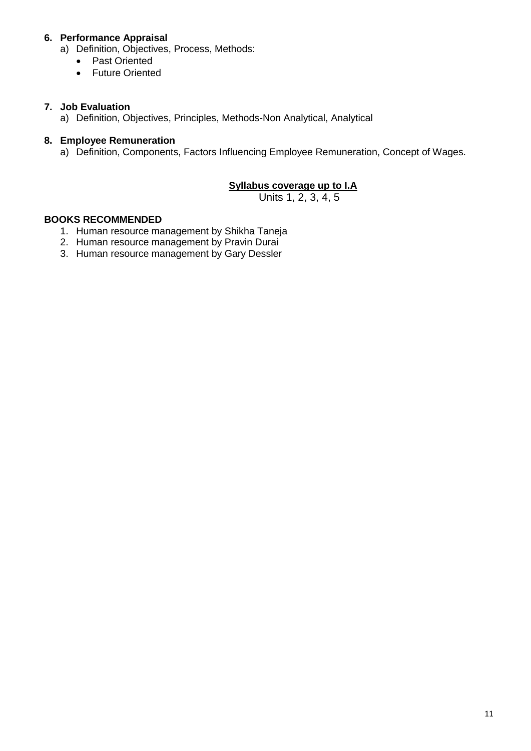# **6. Performance Appraisal**

- a) Definition, Objectives, Process, Methods:
	- Past Oriented
	- Future Oriented

#### **7. Job Evaluation**

a) Definition, Objectives, Principles, Methods-Non Analytical, Analytical

#### **8. Employee Remuneration**

a) Definition, Components, Factors Influencing Employee Remuneration, Concept of Wages.

#### **Syllabus coverage up to I.A**

Units 1, 2, 3, 4, 5

#### **BOOKS RECOMMENDED**

- 1. Human resource management by Shikha Taneja
- 2. Human resource management by Pravin Durai
- 3. Human resource management by Gary Dessler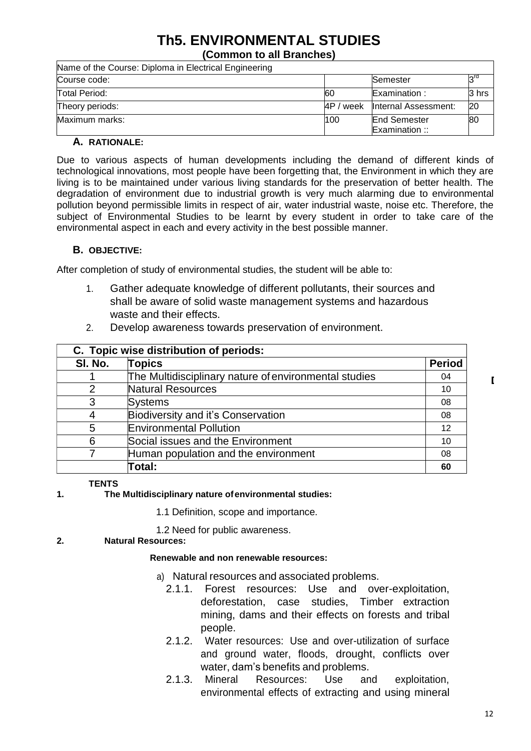# **Th5. ENVIRONMENTAL STUDIES**

**(Common to all Branches)**

| Name of the Course: Diploma in Electrical Engineering |           |                                       |       |
|-------------------------------------------------------|-----------|---------------------------------------|-------|
| Course code:                                          |           | Semester                              |       |
| Total Period:                                         | <b>60</b> | Examination :                         | 3 hrs |
| Theory periods:                                       |           | 4P / week linternal Assessment:       | 20    |
| Maximum marks:                                        | 100       | <b>End Semester</b><br>Examination :: | 80    |

#### **A. RATIONALE:**

Due to various aspects of human developments including the demand of different kinds of technological innovations, most people have been forgetting that, the Environment in which they are living is to be maintained under various living standards for the preservation of better health. The degradation of environment due to industrial growth is very much alarming due to environmental pollution beyond permissible limits in respect of air, water industrial waste, noise etc. Therefore, the subject of Environmental Studies to be learnt by every student in order to take care of the environmental aspect in each and every activity in the best possible manner.

#### **B. OBJECTIVE:**

After completion of study of environmental studies, the student will be able to:

- 1. Gather adequate knowledge of different pollutants, their sources and shall be aware of solid waste management systems and hazardous waste and their effects.
- 2. Develop awareness towards preservation of environment.

| C. Topic wise distribution of periods: |                                                       |               |  |  |
|----------------------------------------|-------------------------------------------------------|---------------|--|--|
| SI. No.                                | <b>Topics</b>                                         | <b>Period</b> |  |  |
|                                        | The Multidisciplinary nature of environmental studies | 04            |  |  |
| 2                                      | Natural Resources                                     | 10            |  |  |
| 3                                      | <b>Systems</b>                                        | 08            |  |  |
| 4                                      | Biodiversity and it's Conservation                    | 08            |  |  |
| 5                                      | <b>Environmental Pollution</b>                        | 12            |  |  |
| 6                                      | Social issues and the Environment                     | 10            |  |  |
|                                        | Human population and the environment                  | 08            |  |  |
|                                        | Total:                                                | 60            |  |  |

#### **TENTS**

#### **1. The Multidisciplinary nature ofenvironmental studies:**

- 1.1 Definition, scope and importance.
- 1.2 Need for public awareness.

#### **2. Natural Resources:**

#### **Renewable and non renewable resources:**

- a) Natural resources and associated problems.
	- 2.1.1. Forest resources: Use and over-exploitation, deforestation, case studies, Timber extraction mining, dams and their effects on forests and tribal people.
	- 2.1.2. Water resources: Use and over-utilization of surface and ground water, floods, drought, conflicts over water, dam's benefits and problems.
	- 2.1.3. Mineral Resources: Use and exploitation, environmental effects of extracting and using mineral

 $\mathbf{L}$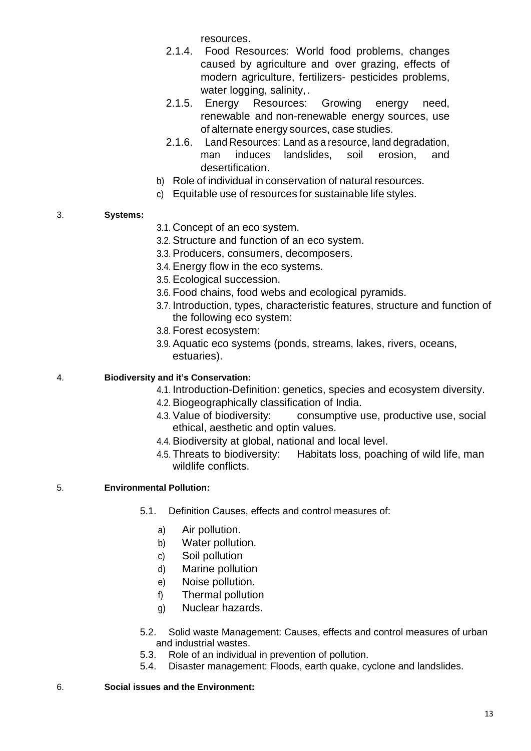resources.

- 2.1.4. Food Resources: World food problems, changes caused by agriculture and over grazing, effects of modern agriculture, fertilizers- pesticides problems, water logging, salinity,.
- 2.1.5. Energy Resources: Growing energy need, renewable and non-renewable energy sources, use of alternate energy sources, case studies.
- 2.1.6. Land Resources: Land as a resource, land degradation, man induces landslides, soil erosion, and desertification.
- b) Role of individual in conservation of natural resources.
- c) Equitable use of resources for sustainable life styles.

# 3. **Systems:**

- 3.1. Concept of an eco system.
- 3.2. Structure and function of an eco system.
- 3.3. Producers, consumers, decomposers.
- 3.4. Energy flow in the eco systems.
- 3.5. Ecological succession.
- 3.6. Food chains, food webs and ecological pyramids.
- 3.7. Introduction, types, characteristic features, structure and function of the following eco system:
- 3.8. Forest ecosystem:
- 3.9. Aquatic eco systems (ponds, streams, lakes, rivers, oceans, estuaries).

# 4. **Biodiversity and it's Conservation:**

- 4.1. Introduction-Definition: genetics, species and ecosystem diversity.
- 4.2. Biogeographically classification of India.
- 4.3. Value of biodiversity: consumptive use, productive use, social ethical, aesthetic and optin values.
- 4.4. Biodiversity at global, national and local level.
- 4.5. Threats to biodiversity: Habitats loss, poaching of wild life, man wildlife conflicts.

# 5. **Environmental Pollution:**

- 5.1. Definition Causes, effects and control measures of:
	- a) Air pollution.
	- b) Water pollution.
	- c) Soil pollution
	- d) Marine pollution
	- e) Noise pollution.
	- f) Thermal pollution
	- g) Nuclear hazards.
- 5.2. Solid waste Management: Causes, effects and control measures of urban and industrial wastes.
- 5.3. Role of an individual in prevention of pollution.
- 5.4. Disaster management: Floods, earth quake, cyclone and landslides.
- 6. **Social issues and the Environment:**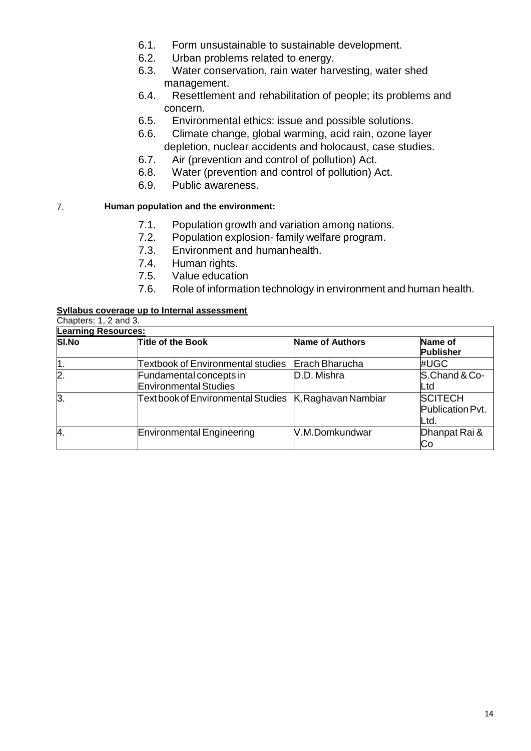- 6.1. Form unsustainable to sustainable development.
- 6.2. Urban problems related to energy.
- 6.3. Water conservation, rain water harvesting, water shed management.
- 6.4. Resettlement and rehabilitation of people; its problems and concern.
- 6.5. Environmental ethics: issue and possible solutions.
- 6.6. Climate change, global warming, acid rain, ozone layer depletion, nuclear accidents and holocaust, case studies.
- 6.7. Air (prevention and control of pollution) Act.
- 6.8. Water (prevention and control of pollution) Act.
- 6.9. Public awareness.

#### 7. **Human population and the environment:**

- 7.1. Population growth and variation among nations.
- 7.2. Population explosion- family welfare program.
- 7.3. Environment and humanhealth.
- 7.4. Human rights.
- 7.5. Value education
- 7.6. Role of information technology in environment and human health.

#### **Syllabus coverage up to Internal assessment**

| <b>Learning Resources:</b> |                                          |                        |                  |
|----------------------------|------------------------------------------|------------------------|------------------|
| <b>SI.No</b>               | <b>Title of the Book</b>                 | <b>Name of Authors</b> | Name of          |
|                            |                                          |                        | <b>Publisher</b> |
|                            | <b>Textbook of Environmental studies</b> | Erach Bharucha         | #UGC             |
| $\mathbf{2}$               | Fundamental concepts in                  | D.D. Mishra            | S.Chand & Co-    |
|                            | <b>Environmental Studies</b>             |                        | Ltd              |
| 3.                         | Text book of Environmental Studies       | K.Raghavan Nambiar     | <b>SCITECH</b>   |
|                            |                                          |                        | Publication Pvt. |
|                            |                                          |                        | Ltd.             |
| 4.                         | Environmental Engineering                | V.M.Domkundwar         | Dhanpat Rai &    |
|                            |                                          |                        | Cо               |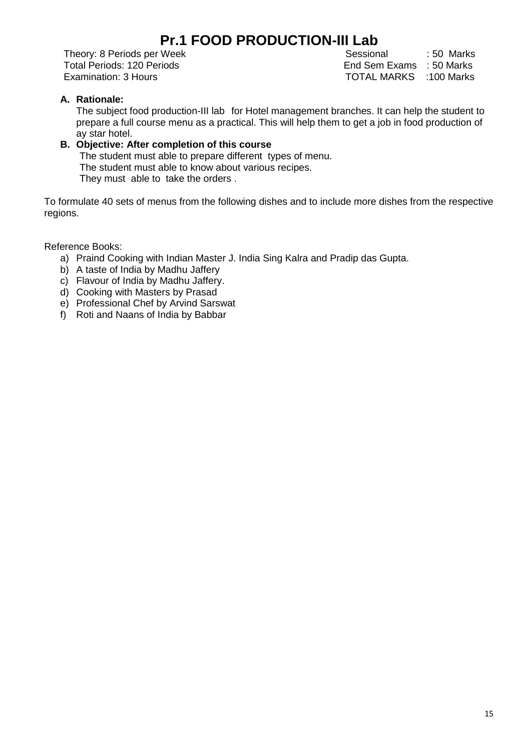# **Pr.1 FOOD PRODUCTION-III Lab**

Theory: 8 Periods per Week Sessional : 50 Marks

Total Periods: 120 Periods **End Sem Exams** : 50 Marks Examination: 3 Hours TOTAL MARKS :100 Marks

# **A. Rationale:**

The subject food production-III lab for Hotel management branches. It can help the student to prepare a full course menu as a practical. This will help them to get a job in food production of ay star hotel.

# **B. Objective: After completion of this course**

 The student must able to prepare different types of menu. The student must able to know about various recipes. They must able to take the orders .

To formulate 40 sets of menus from the following dishes and to include more dishes from the respective regions.

Reference Books:

- a) Praind Cooking with Indian Master J. India Sing Kalra and Pradip das Gupta.
- b) A taste of India by Madhu Jaffery
- c) Flavour of India by Madhu Jaffery.
- d) Cooking with Masters by Prasad
- e) Professional Chef by Arvind Sarswat
- f) Roti and Naans of India by Babbar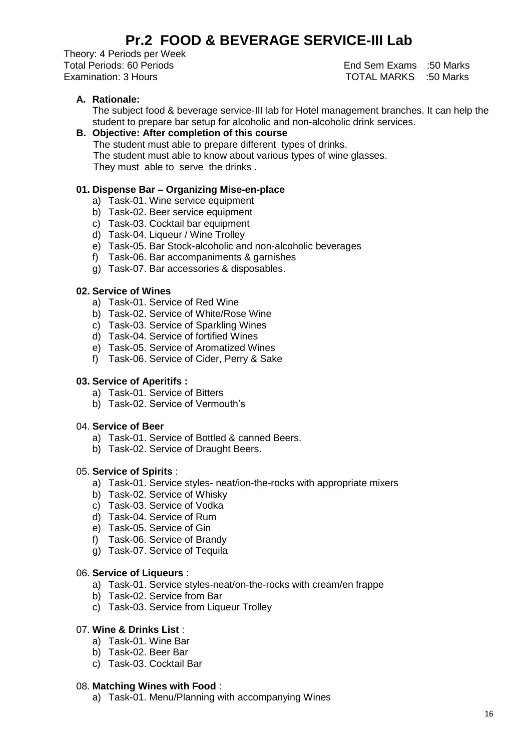# **Pr.2 FOOD & BEVERAGE SERVICE-III Lab**

Theory: 4 Periods per Week Total Periods: 60 Periods End Sem Exams :50 Marks

Examination: 3 Hours TOTAL MARKS :50 Marks

# **A. Rationale:**

The subject food & beverage service-III lab for Hotel management branches. It can help the student to prepare bar setup for alcoholic and non-alcoholic drink services.

#### **B. Objective: After completion of this course**  The student must able to prepare different types of drinks. The student must able to know about various types of wine glasses.

They must able to serve the drinks .

### **01. Dispense Bar – Organizing Mise-en-place**

- a) Task-01. Wine service equipment
- b) Task-02. Beer service equipment
- c) Task-03. Cocktail bar equipment
- d) Task-04. Liqueur / Wine Trolley
- e) Task-05. Bar Stock-alcoholic and non-alcoholic beverages
- f) Task-06. Bar accompaniments & garnishes
- g) Task-07. Bar accessories & disposables.

# **02. Service of Wines**

- a) Task-01. Service of Red Wine
- b) Task-02. Service of White/Rose Wine
- c) Task-03. Service of Sparkling Wines
- d) Task-04. Service of fortified Wines
- e) Task-05. Service of Aromatized Wines
- f) Task-06. Service of Cider, Perry & Sake

#### **03. Service of Aperitifs :**

- a) Task-01. Service of Bitters
- b) Task-02. Service of Vermouth's

#### 04. **Service of Beer**

- a) Task-01. Service of Bottled & canned Beers.
- b) Task-02. Service of Draught Beers.

#### 05. **Service of Spirits** :

- a) Task-01. Service styles- neat/ion-the-rocks with appropriate mixers
- b) Task-02. Service of Whisky
- c) Task-03. Service of Vodka
- d) Task-04. Service of Rum
- e) Task-05. Service of Gin
- f) Task-06. Service of Brandy
- g) Task-07. Service of Tequila

#### 06. **Service of Liqueurs** :

- a) Task-01. Service styles-neat/on-the-rocks with cream/en frappe
- b) Task-02. Service from Bar
- c) Task-03. Service from Liqueur Trolley

### 07. **Wine & Drinks List** :

- a) Task-01. Wine Bar
- b) Task-02. Beer Bar
- c) Task-03. Cocktail Bar

#### 08. **Matching Wines with Food** :

a) Task-01. Menu/Planning with accompanying Wines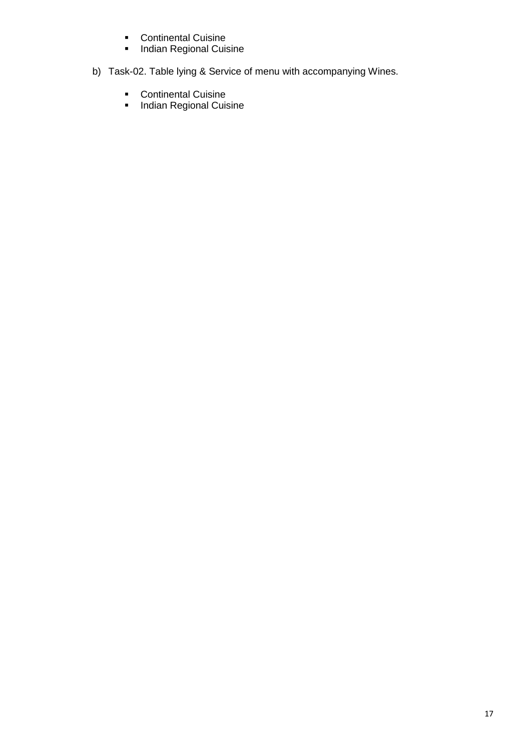- **•** Continental Cuisine
- **Indian Regional Cuisine**
- b) Task-02. Table lying & Service of menu with accompanying Wines.
	- **Continental Cuisine**
	- **Indian Regional Cuisine**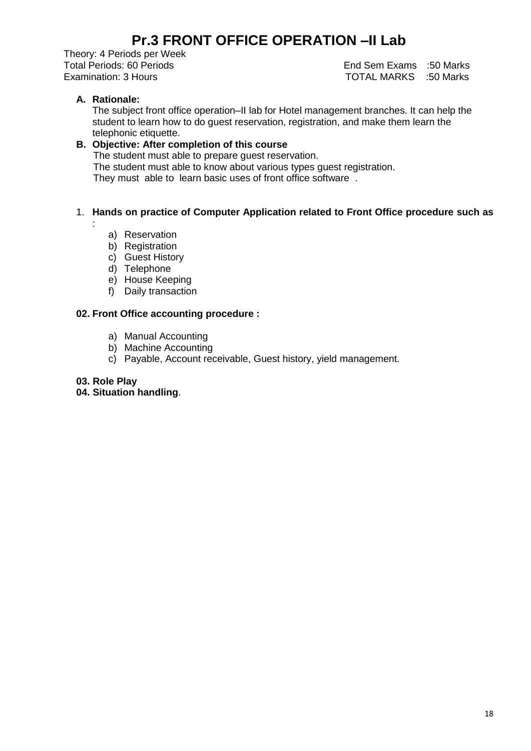# **Pr.3 FRONT OFFICE OPERATION –II Lab**

Theory: 4 Periods per Week

Total Periods: 60 Periods End Sem Exams :50 Marks Examination: 3 Hours TOTAL MARKS :50 Marks

# **A. Rationale:**

The subject front office operation–II lab for Hotel management branches. It can help the student to learn how to do guest reservation, registration, and make them learn the telephonic etiquette.

# **B. Objective: After completion of this course**

The student must able to prepare guest reservation.

The student must able to know about various types guest registration.

They must able to learn basic uses of front office software .

# 1. **Hands on practice of Computer Application related to Front Office procedure such as**

:

- a) Reservation
- b) Registration
- c) Guest History
- d) Telephone
- e) House Keeping
- f) Daily transaction

### **02. Front Office accounting procedure :**

- a) Manual Accounting
- b) Machine Accounting
- c) Payable, Account receivable, Guest history, yield management.
- **03. Role Play**

#### **04. Situation handling**.